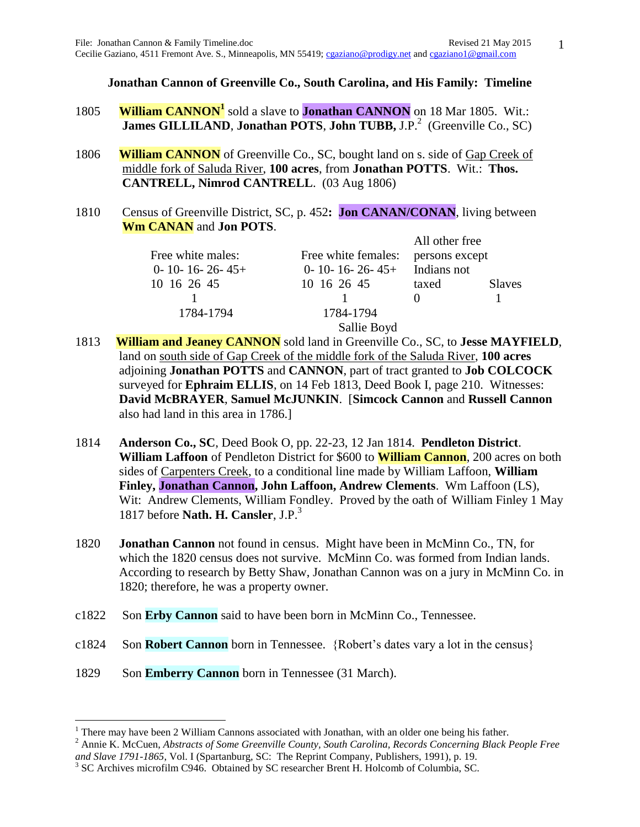**Jonathan Cannon of Greenville Co., South Carolina, and His Family: Timeline**

- 1805 **William CANNON<sup>1</sup>** sold a slave to **Jonathan CANNON** on 18 Mar 1805. Wit.: **James GILLILAND, Jonathan POTS, John TUBB, J.P.<sup>2</sup> (Greenville Co., SC)**
- 1806 **William CANNON** of Greenville Co., SC, bought land on s. side of Gap Creek of middle fork of Saluda River, **100 acres**, from **Jonathan POTTS**. Wit.: **Thos. CANTRELL, Nimrod CANTRELL**. (03 Aug 1806)
- 1810 Census of Greenville District, SC, p. 452**: Jon CANAN/CONAN**, living between **Wm CANAN** and **Jon POTS**.

|                           |                           | All other free |               |
|---------------------------|---------------------------|----------------|---------------|
| Free white males:         | Free white females:       | persons except |               |
| $0 - 10 - 16 - 26 - 45 +$ | $0 - 10 - 16 - 26 - 45 +$ | Indians not    |               |
| 10 16 26 45               | 10 16 26 45               | taxed          | <b>Slaves</b> |
|                           |                           |                |               |
| 1784-1794                 | 1784-1794                 |                |               |
|                           | Sallie Boyd               |                |               |

- 1813 **William and Jeaney CANNON** sold land in Greenville Co., SC, to **Jesse MAYFIELD**, land on south side of Gap Creek of the middle fork of the Saluda River, **100 acres** adjoining **Jonathan POTTS** and **CANNON**, part of tract granted to **Job COLCOCK** surveyed for **Ephraim ELLIS**, on 14 Feb 1813, Deed Book I, page 210. Witnesses: **David McBRAYER**, **Samuel McJUNKIN**. [**Simcock Cannon** and **Russell Cannon** also had land in this area in 1786.]
- 1814 **Anderson Co., SC**, Deed Book O, pp. 22-23, 12 Jan 1814. **Pendleton District**.  **William Laffoon** of Pendleton District for \$600 to **William Cannon**, 200 acres on both sides of Carpenters Creek, to a conditional line made by William Laffoon, **William Finley, Jonathan Cannon, John Laffoon, Andrew Clements**. Wm Laffoon (LS), Wit: Andrew Clements, William Fondley. Proved by the oath of William Finley 1 May 1817 before **Nath. H. Cansler**, J.P.<sup>3</sup>
- 1820 **Jonathan Cannon** not found in census. Might have been in McMinn Co., TN, for which the 1820 census does not survive. McMinn Co. was formed from Indian lands. According to research by Betty Shaw, Jonathan Cannon was on a jury in McMinn Co. in 1820; therefore, he was a property owner.
- c1822 Son **Erby Cannon** said to have been born in McMinn Co., Tennessee.
- c1824 Son **Robert Cannon** born in Tennessee. {Robert's dates vary a lot in the census}
- 1829 Son **Emberry Cannon** born in Tennessee (31 March).

 $\overline{a}$ 

1

 $1$  There may have been 2 William Cannons associated with Jonathan, with an older one being his father.

<sup>2</sup> Annie K. McCuen, *Abstracts of Some Greenville County, South Carolina, Records Concerning Black People Free and Slave 1791-1865*, Vol. I (Spartanburg, SC: The Reprint Company, Publishers, 1991), p. 19.

<sup>&</sup>lt;sup>3</sup> SC Archives microfilm C946. Obtained by SC researcher Brent H. Holcomb of Columbia, SC.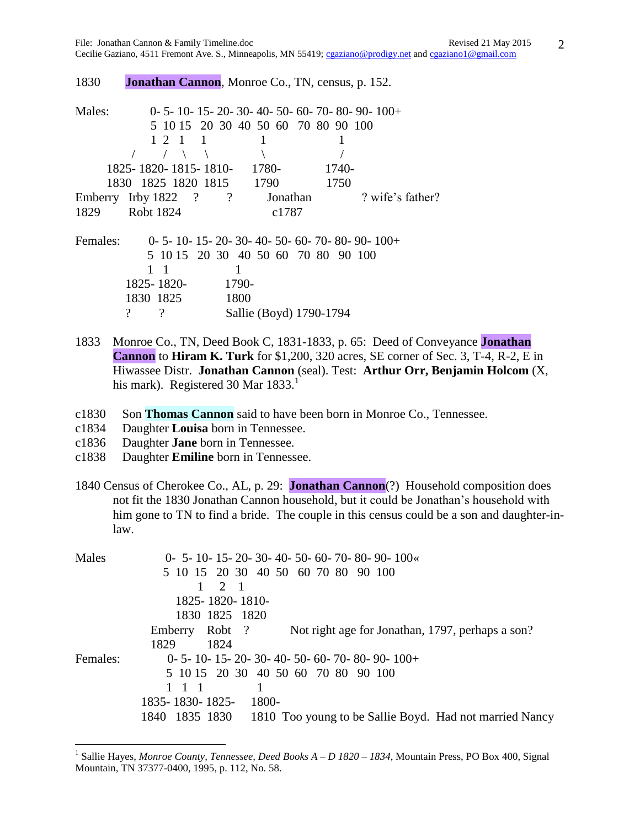1830 **Jonathan Cannon**, Monroe Co., TN, census, p. 152.

| Males:   |                         |                |          | $0-5-10-15-20-30-40-50-60-70-80-90-100+$ |                  |
|----------|-------------------------|----------------|----------|------------------------------------------|------------------|
|          |                         |                |          | 5 10 15 20 30 40 50 60 70 80 90 100      |                  |
|          | 1, 2, 1                 | $\blacksquare$ |          |                                          |                  |
|          |                         |                |          |                                          |                  |
|          | 1825-1820-1815-1810-    |                | 1780-    | 1740-                                    |                  |
|          | 1830 1825 1820 1815     |                | 1790     | 1750                                     |                  |
|          | Emberry Irby $1822$ ? ? |                | Jonathan |                                          | ? wife's father? |
| 1829     | Robt 1824               |                | c1787    |                                          |                  |
| Females: |                         |                |          | $0-5-10-15-20-30-40-50-60-70-80-90-100+$ |                  |
|          |                         |                |          | 5 10 15 20 30 40 50 60 70 80 90 100      |                  |
|          | - 1                     |                |          |                                          |                  |
|          | 1825-1820-              | 1790-          |          |                                          |                  |
|          | 1830 1825               | 1800           |          |                                          |                  |
|          | $\gamma$<br>?           |                |          | Sallie (Boyd) 1790-1794                  |                  |

- 1833 Monroe Co., TN, Deed Book C, 1831-1833, p. 65: Deed of Conveyance **Jonathan Cannon** to **Hiram K. Turk** for \$1,200, 320 acres, SE corner of Sec. 3, T-4, R-2, E in Hiwassee Distr. **Jonathan Cannon** (seal). Test: **Arthur Orr, Benjamin Holcom** (X, his mark). Registered 30 Mar  $1833<sup>1</sup>$
- c1830 Son **Thomas Cannon** said to have been born in Monroe Co., Tennessee.
- c1834 Daughter **Louisa** born in Tennessee.
- c1836 Daughter **Jane** born in Tennessee.

- c1838 Daughter **Emiline** born in Tennessee.
- 1840 Census of Cherokee Co., AL, p. 29: **Jonathan Cannon**(?) Household composition does not fit the 1830 Jonathan Cannon household, but it could be Jonathan's household with him gone to TN to find a bride. The couple in this census could be a son and daughter-inlaw.

| Males    | $0-5-10-15-20-30-40-50-60-70-80-90-100$                                   |
|----------|---------------------------------------------------------------------------|
|          | 5 10 15 20 30 40 50 60 70 80 90 100                                       |
|          | $\blacksquare$<br>$\mathcal{D}_{\mathcal{L}}$                             |
|          | 1825-1820-1810-                                                           |
|          | 1830 1825 1820                                                            |
|          | Not right age for Jonathan, 1797, perhaps a son?<br>Emberry<br>Robt?      |
|          | 1829<br>1824                                                              |
| Females: | $0-5-10-15-20-30-40-50-60-70-80-90-100+$                                  |
|          | 5 10 15 20 30 40 50 60 70 80 90 100                                       |
|          | 1 1 1                                                                     |
|          | 1835-1830-1825-<br>1800-                                                  |
|          | 1810 Too young to be Sallie Boyd. Had not married Nancy<br>1840 1835 1830 |

<sup>&</sup>lt;sup>1</sup> Sallie Hayes, *Monroe County, Tennessee, Deed Books A – D 1820 – 1834*, Mountain Press, PO Box 400, Signal Mountain, TN 37377-0400, 1995, p. 112, No. 58.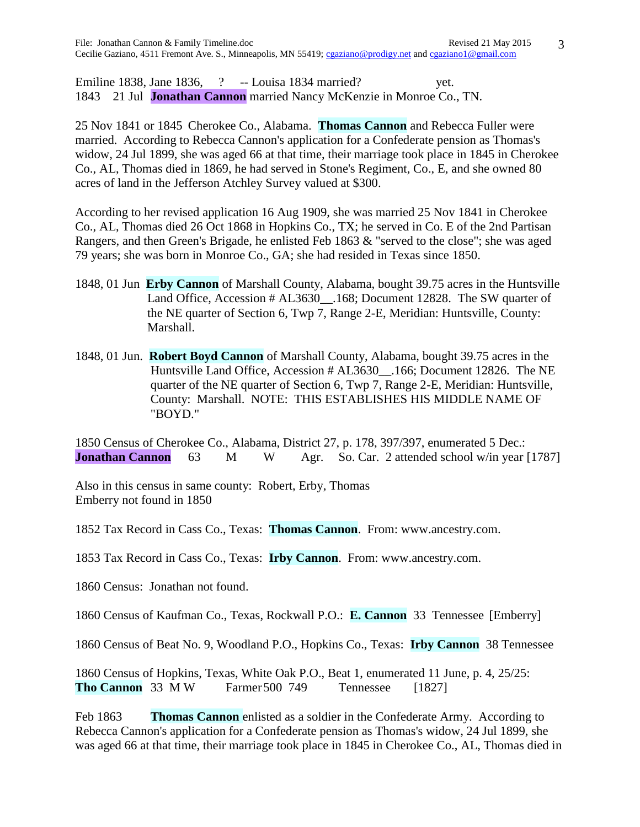Emiline 1838, Jane 1836, ? -- Louisa 1834 married? yet. 1843 21 Jul **Jonathan Cannon** married Nancy McKenzie in Monroe Co., TN.

25 Nov 1841 or 1845 Cherokee Co., Alabama. **Thomas Cannon** and Rebecca Fuller were married. According to Rebecca Cannon's application for a Confederate pension as Thomas's widow, 24 Jul 1899, she was aged 66 at that time, their marriage took place in 1845 in Cherokee Co., AL, Thomas died in 1869, he had served in Stone's Regiment, Co., E, and she owned 80 acres of land in the Jefferson Atchley Survey valued at \$300.

According to her revised application 16 Aug 1909, she was married 25 Nov 1841 in Cherokee Co., AL, Thomas died 26 Oct 1868 in Hopkins Co., TX; he served in Co. E of the 2nd Partisan Rangers, and then Green's Brigade, he enlisted Feb 1863 & "served to the close"; she was aged 79 years; she was born in Monroe Co., GA; she had resided in Texas since 1850.

- 1848, 01 Jun **Erby Cannon** of Marshall County, Alabama, bought 39.75 acres in the Huntsville Land Office, Accession # AL3630\_\_.168; Document 12828. The SW quarter of the NE quarter of Section 6, Twp 7, Range 2-E, Meridian: Huntsville, County: Marshall.
- 1848, 01 Jun. **Robert Boyd Cannon** of Marshall County, Alabama, bought 39.75 acres in the Huntsville Land Office, Accession # AL3630\_\_.166; Document 12826. The NE quarter of the NE quarter of Section 6, Twp 7, Range 2-E, Meridian: Huntsville, County: Marshall. NOTE: THIS ESTABLISHES HIS MIDDLE NAME OF "BOYD."

1850 Census of Cherokee Co., Alabama, District 27, p. 178, 397/397, enumerated 5 Dec.: **Jonathan Cannon** 63 M W Agr. So. Car. 2 attended school w/in year [1787]

Also in this census in same county: Robert, Erby, Thomas Emberry not found in 1850

1852 Tax Record in Cass Co., Texas: **Thomas Cannon**. From: www.ancestry.com.

1853 Tax Record in Cass Co., Texas: **Irby Cannon**. From: www.ancestry.com.

1860 Census: Jonathan not found.

1860 Census of Kaufman Co., Texas, Rockwall P.O.: **E. Cannon** 33 Tennessee [Emberry]

1860 Census of Beat No. 9, Woodland P.O., Hopkins Co., Texas: **Irby Cannon** 38 Tennessee

1860 Census of Hopkins, Texas, White Oak P.O., Beat 1, enumerated 11 June, p. 4, 25/25: **Tho Cannon** 33 M W Farmer 500 749 Tennessee [1827]

Feb 1863 **Thomas Cannon** enlisted as a soldier in the Confederate Army.According to Rebecca Cannon's application for a Confederate pension as Thomas's widow, 24 Jul 1899, she was aged 66 at that time, their marriage took place in 1845 in Cherokee Co., AL, Thomas died in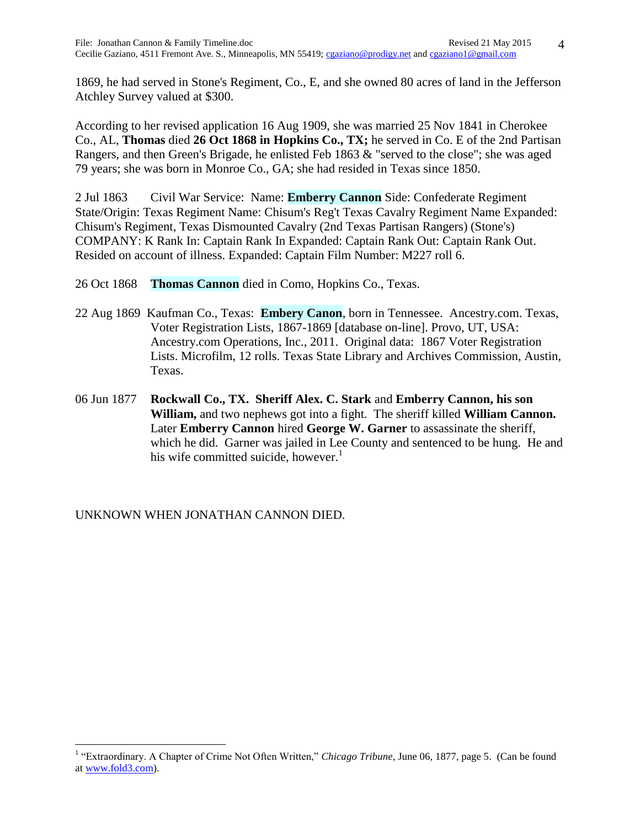1869, he had served in Stone's Regiment, Co., E, and she owned 80 acres of land in the Jefferson Atchley Survey valued at \$300.

According to her revised application 16 Aug 1909, she was married 25 Nov 1841 in Cherokee Co., AL, **Thomas** died **26 Oct 1868 in Hopkins Co., TX;** he served in Co. E of the 2nd Partisan Rangers, and then Green's Brigade, he enlisted Feb 1863 & "served to the close"; she was aged 79 years; she was born in Monroe Co., GA; she had resided in Texas since 1850.

2 Jul 1863 Civil War Service: Name: **Emberry Cannon** Side: Confederate Regiment State/Origin: Texas Regiment Name: Chisum's Reg't Texas Cavalry Regiment Name Expanded: Chisum's Regiment, Texas Dismounted Cavalry (2nd Texas Partisan Rangers) (Stone's) COMPANY: K Rank In: Captain Rank In Expanded: Captain Rank Out: Captain Rank Out. Resided on account of illness. Expanded: Captain Film Number: M227 roll 6.

- 26 Oct 1868 **Thomas Cannon** died in Como, Hopkins Co., Texas.
- 22 Aug 1869 Kaufman Co., Texas: **Embery Canon**, born in Tennessee. Ancestry.com. Texas, Voter Registration Lists, 1867-1869 [database on-line]. Provo, UT, USA: Ancestry.com Operations, Inc., 2011. Original data: 1867 Voter Registration Lists. Microfilm, 12 rolls. Texas State Library and Archives Commission, Austin, Texas.
- 06 Jun 1877 **Rockwall Co., TX. Sheriff Alex. C. Stark** and **Emberry Cannon, his son William,** and two nephews got into a fight. The sheriff killed **William Cannon.** Later **Emberry Cannon** hired **George W. Garner** to assassinate the sheriff, which he did. Garner was jailed in Lee County and sentenced to be hung. He and his wife committed suicide, however.<sup>1</sup>

UNKNOWN WHEN JONATHAN CANNON DIED.

<sup>&</sup>lt;sup>1</sup> "Extraordinary. A Chapter of Crime Not Often Written," *Chicago Tribune*, June 06, 1877, page 5. (Can be found a[t www.fold3.com\)](http://www.fold3.com/).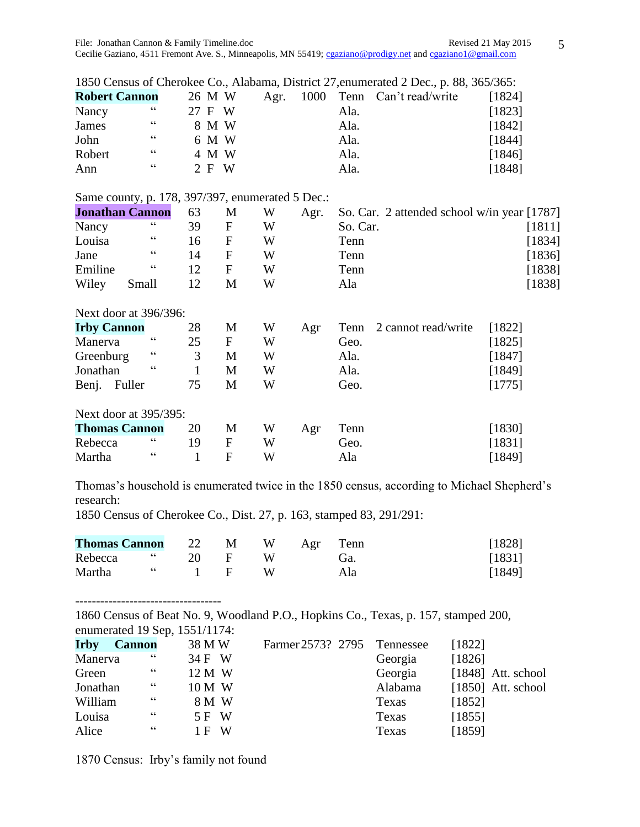Cecilie Gaziano, 4511 Fremont Ave. S., Minneapolis, MN 55419; [cgaziano@prodigy.net](mailto:cgaziano@prodigy.net) and [cgaziano1@gmail.com](mailto:cgaziano1@gmail.com)

|  |  | 1850 Census of Cherokee Co., Alabama, District 27, enumerated 2 Dec., p. 88, 365/365: |  |  |  |
|--|--|---------------------------------------------------------------------------------------|--|--|--|
|--|--|---------------------------------------------------------------------------------------|--|--|--|

| <b>Robert Cannon</b> |            | 26 M W |         |       |  |      | Agr. 1000 Tenn Can't read/write | [1824] |
|----------------------|------------|--------|---------|-------|--|------|---------------------------------|--------|
| Nancy                | cc         | 27 F W |         |       |  | Ala. |                                 | [1823] |
| James                | $\epsilon$ |        |         | 8 M W |  | Ala. |                                 | [1842] |
| John                 | cc         |        |         | 6 M W |  | Ala. |                                 | [1844] |
| Robert               | cc         |        |         | 4 M W |  | Ala. |                                 | [1846] |
| Ann                  | cc         |        | $2$ F W |       |  | Ala. |                                 | [1848] |

## Same county, p. 178, 397/397, enumerated 5 Dec.:

|                      | <b>Jonathan Cannon</b> | 63 | M | W | Agr. | So. Car. 2 attended school w/in year [1787] |        |
|----------------------|------------------------|----|---|---|------|---------------------------------------------|--------|
| Nancy                | cc                     | 39 | F | W |      | So. Car.                                    | [1811] |
| Louisa               | $\epsilon$             | 16 | F | W |      | Tenn                                        | [1834] |
| Jane                 | $\epsilon$             | 14 | F | W |      | Tenn                                        | [1836] |
| Emiline              | C C                    | 12 | F | W |      | Tenn                                        | [1838] |
| Wiley                | Small                  | 12 | M | W |      | Ala                                         | [1838] |
|                      | Next door at 396/396:  |    |   |   |      |                                             |        |
| <b>Irby Cannon</b>   |                        | 28 | M | W | Agr  | 2 cannot read/write<br>Tenn                 | [1822] |
| Manerva              | $\epsilon$             | 25 | F | W |      | Geo.                                        | [1825] |
| Greenburg            | $\epsilon$             | 3  | M | W |      | Ala.                                        | [1847] |
| Jonathan             | $\epsilon$             |    | M | W |      | Ala.                                        | [1849] |
| Benj.                | Fuller                 | 75 | M | W |      | Geo.                                        | [1775] |
|                      | Next door at 395/395:  |    |   |   |      |                                             |        |
| <b>Thomas Cannon</b> |                        | 20 | M | W | Agr  | Tenn                                        | [1830] |
| Rebecca              | $\epsilon$             | 19 | F | W |      | Geo.                                        | [1831] |
| Martha               | cc                     |    | F | W |      | Ala                                         | [1849] |

Thomas's household is enumerated twice in the 1850 census, according to Michael Shepherd's research:

1850 Census of Cherokee Co., Dist. 27, p. 163, stamped 83, 291/291:

| <b>Thomas Cannon</b> |                                                                                                                                                                                                                                                                                                                                                                                      |        | 22 M |     | W Agr Tenn | [1828] |
|----------------------|--------------------------------------------------------------------------------------------------------------------------------------------------------------------------------------------------------------------------------------------------------------------------------------------------------------------------------------------------------------------------------------|--------|------|-----|------------|--------|
| Rebecca "            |                                                                                                                                                                                                                                                                                                                                                                                      | 20     | - F  | W   | Gà.        | [1831] |
| Martha               | $\overline{c}$ $\overline{c}$ $\overline{c}$ $\overline{c}$ $\overline{c}$ $\overline{c}$ $\overline{c}$ $\overline{c}$ $\overline{c}$ $\overline{c}$ $\overline{c}$ $\overline{c}$ $\overline{c}$ $\overline{c}$ $\overline{c}$ $\overline{c}$ $\overline{c}$ $\overline{c}$ $\overline{c}$ $\overline{c}$ $\overline{c}$ $\overline{c}$ $\overline{c}$ $\overline{c}$ $\overline{$ | $-1$ F |      | - W | Ala        | [1849] |

1860 Census of Beat No. 9, Woodland P.O., Hopkins Co., Texas, p. 157, stamped 200, enumerated 19 Sep, 1551/1174:

| <b>Irby</b> | <b>Cannon</b> | 38 M W   | Farmer 2573? 2795 Tennessee |         | [1822]               |
|-------------|---------------|----------|-----------------------------|---------|----------------------|
| Manerva     | cc            | 34 F W   |                             | Georgia | [1826]               |
| Green       | cc            | 12 M W   |                             | Georgia | $[1848]$ Att. school |
| Jonathan    | cc            | 10 M W   |                             | Alabama | $[1850]$ Att. school |
| William     | $\epsilon$    | 8 M W    |                             | Texas   | [1852]               |
| Louisa      | $\epsilon$    | 5 F W    |                             | Texas   | [1855]               |
| Alice       | $\epsilon$    | W<br>1 F |                             | Texas   | [1859]               |

1870 Census: Irby's family not found

-----------------------------------

5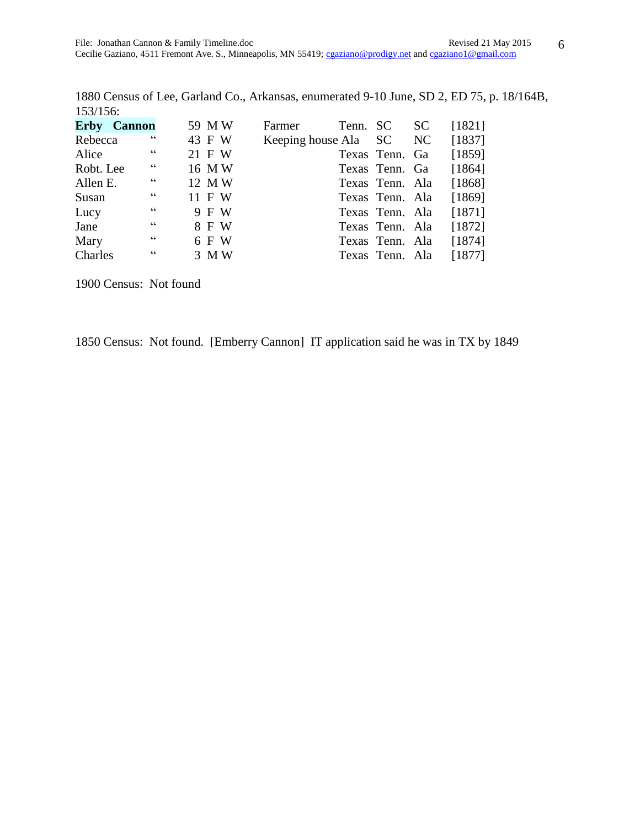1880 Census of Lee, Garland Co., Arkansas, enumerated 9-10 June, SD 2, ED 75, p. 18/164B, 153/156:

| <b>Erby Cannon</b> |            | 59 MW  | Farmer |                         | Tenn. SC SC     | [1821] |
|--------------------|------------|--------|--------|-------------------------|-----------------|--------|
| Rebecca            | $\epsilon$ | 43 F W |        | Keeping house Ala SC NC |                 | [1837] |
| Alice              | cc         | 21 F W |        |                         | Texas Tenn. Ga  | [1859] |
| Robt. Lee          | $\epsilon$ | 16 MW  |        |                         | Texas Tenn. Ga  | [1864] |
| Allen E.           | $\epsilon$ | 12 MW  |        |                         | Texas Tenn. Ala | [1868] |
| Susan              | cc         | 11 F W |        |                         | Texas Tenn. Ala | [1869] |
| Lucy               | cc         | 9 F W  |        |                         | Texas Tenn. Ala | [1871] |
| Jane               | $\epsilon$ | 8 F W  |        |                         | Texas Tenn. Ala | [1872] |
| Mary               | cc         | 6 F W  |        |                         | Texas Tenn. Ala | [1874] |
| Charles            | $\epsilon$ | 3 M W  |        |                         | Texas Tenn. Ala | [1877] |

1900 Census: Not found

1850 Census: Not found. [Emberry Cannon] IT application said he was in TX by 1849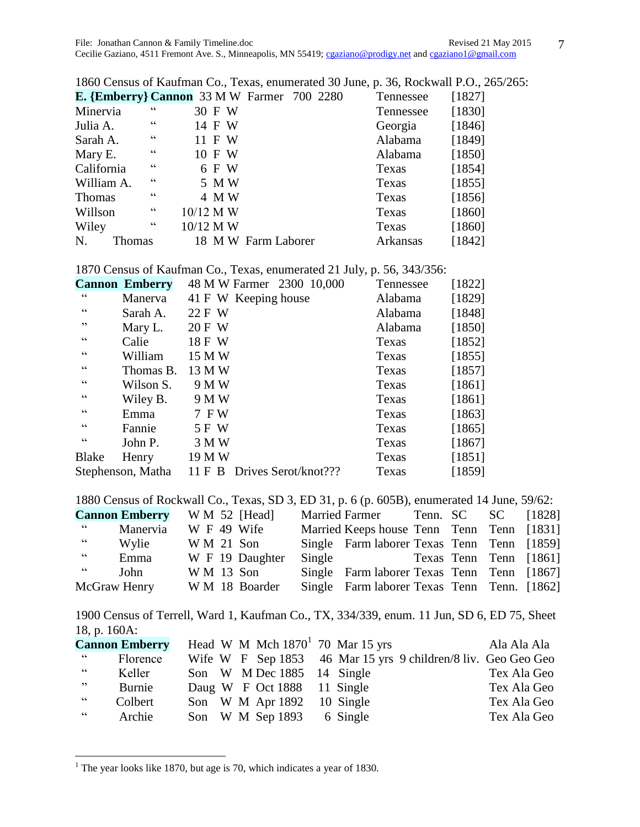| 1860 Census of Kaufman Co., Texas, enumerated 30 June, p. 36, Rockwall P.O., 265/265: |                 |             |        |                     |  |  |           |        |  |  |
|---------------------------------------------------------------------------------------|-----------------|-------------|--------|---------------------|--|--|-----------|--------|--|--|
| <b>E.</b> {Emberry} Cannon 33 M W Farmer 700 2280                                     |                 |             |        |                     |  |  | Tennessee | [1827] |  |  |
| Minervia                                                                              | cc              |             | 30 F W |                     |  |  | Tennessee | [1830] |  |  |
| Julia A.                                                                              | $\epsilon$      |             | 14 F W |                     |  |  | Georgia   | [1846] |  |  |
| Sarah A.                                                                              | $\zeta$ $\zeta$ |             | 11 F W |                     |  |  | Alabama   | [1849] |  |  |
| Mary E.                                                                               | $\zeta\,\zeta$  |             | 10 F W |                     |  |  | Alabama   | [1850] |  |  |
| California                                                                            | $\zeta\,\zeta$  |             | 6 F W  |                     |  |  | Texas     | [1854] |  |  |
| William A.                                                                            | $\epsilon$      |             | 5 M W  |                     |  |  | Texas     | [1855] |  |  |
| <b>Thomas</b>                                                                         | $\epsilon$      |             | 4 M W  |                     |  |  | Texas     | [1856] |  |  |
| Willson                                                                               | $\epsilon$      | $10/12$ M W |        |                     |  |  | Texas     | [1860] |  |  |
| Wiley                                                                                 | $\epsilon$      | 10/12 M W   |        |                     |  |  | Texas     | [1860] |  |  |
| N.<br>Thomas                                                                          |                 |             |        | 18 M W Farm Laborer |  |  | Arkansas  | [1842] |  |  |

1870 Census of Kaufman Co., Texas, enumerated 21 July, p. 56, 343/356:

|                | <b>Cannon Emberry</b> | 48 M W Farmer 2300 10,000      | Tennessee | [1822] |
|----------------|-----------------------|--------------------------------|-----------|--------|
| cc             | Manerva               | 41 F W Keeping house           | Alabama   | [1829] |
| $\zeta\,\zeta$ | Sarah A.              | 22 F W                         | Alabama   | [1848] |
| , 2            | Mary L.               | 20 F W                         | Alabama   | [1850] |
| cc             | Calie                 | 18 F W                         | Texas     | [1852] |
| cc             | William               | 15 M W                         | Texas     | [1855] |
| cc             | Thomas B.             | 13 M W                         | Texas     | [1857] |
| cc             | Wilson S.             | 9 M W                          | Texas     | [1861] |
| cc             | Wiley B.              | 9 M W                          | Texas     | [1861] |
| cc             | Emma                  | 7 F W                          | Texas     | [1863] |
| cc             | Fannie                | 5 F W                          | Texas     | [1865] |
| cc             | John P.               | 3 M W                          | Texas     | [1867] |
| <b>Blake</b>   | Henry                 | 19 M W                         | Texas     | [1851] |
|                | Stephenson, Matha     | Drives Serot/knot???<br>11 F B | Texas     | [1859] |

1880 Census of Rockwall Co., Texas, SD 3, ED 31, p. 6 (p. 605B), enumerated 14 June, 59/62:

|              | <b>Cannon Emberry</b> |  | $W M 52$ [Head] | Married Farmer Tenn. SC SC                  |  | [1828]                 |
|--------------|-----------------------|--|-----------------|---------------------------------------------|--|------------------------|
| cc           | Manervia              |  | W F 49 Wife     | Married Keeps house Tenn Tenn Tenn [1831]   |  |                        |
| cc           | Wylie                 |  | $W M 21$ Son    | Single Farm laborer Texas Tenn Tenn [1859]  |  |                        |
| cc           | Emma                  |  | W F 19 Daughter | Single                                      |  | Texas Tenn Tenn [1861] |
| cc           | John                  |  | $W M 13$ Son    | Single Farm laborer Texas Tenn Tenn [1867]  |  |                        |
| McGraw Henry |                       |  | W M 18 Boarder  | Single Farm laborer Texas Tenn Tenn. [1862] |  |                        |
|              |                       |  |                 |                                             |  |                        |

1900 Census of Terrell, Ward 1, Kaufman Co., TX, 334/339, enum. 11 Jun, SD 6, ED 75, Sheet 18, p. 160A:

|                | <b>Cannon Emberry</b> |  |                             | Head W M Mch $1870^1$ 70 Mar 15 yrs |                                                               | Ala Ala Ala |
|----------------|-----------------------|--|-----------------------------|-------------------------------------|---------------------------------------------------------------|-------------|
| 66             | Florence              |  |                             |                                     | Wife W F Sep 1853 46 Mar 15 yrs 9 children/8 liv. Geo Geo Geo |             |
| C              | Keller                |  | Son W M Dec 1885 14 Single  |                                     |                                                               | Tex Ala Geo |
| , 22           | Burnie                |  | Daug W F Oct 1888 11 Single |                                     |                                                               | Tex Ala Geo |
| $\zeta\,\zeta$ | Colbert               |  | Son W M Apr 1892 10 Single  |                                     |                                                               | Tex Ala Geo |
| $\epsilon$     | Archie                |  | Son W M Sep 1893 6 Single   |                                     |                                                               | Tex Ala Geo |

 $1$ <sup>1</sup> The year looks like 1870, but age is 70, which indicates a year of 1830.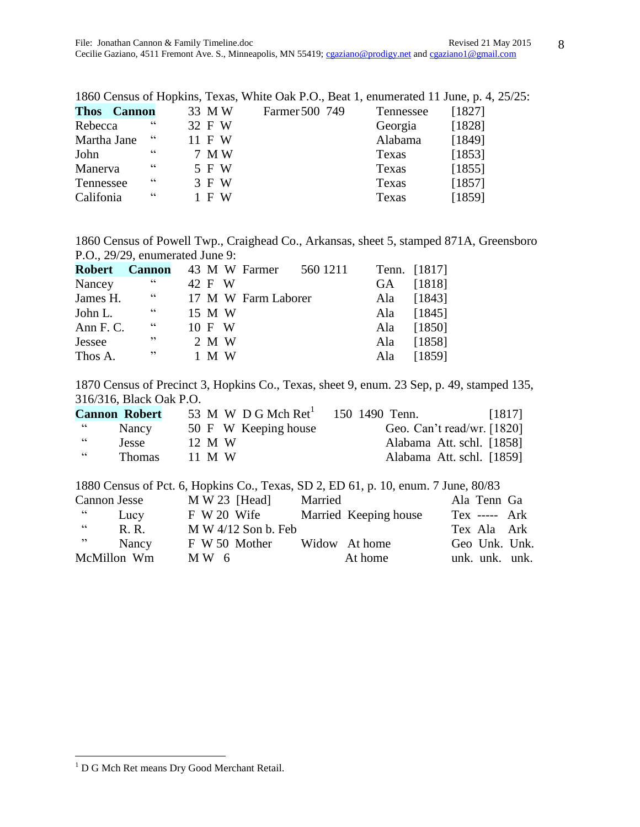|             |                    |            |        |       | 1860 Census of Hopkins, Texas, White Oak P.O., Beat 1, enumerated 11 June, p. 4, 25/25 |           |        |
|-------------|--------------------|------------|--------|-------|----------------------------------------------------------------------------------------|-----------|--------|
|             | <b>Thos Cannon</b> |            | 33 MW  |       | Farmer 500 749                                                                         | Tennessee | [1827] |
| Rebecca     |                    | cc         | 32 F W |       |                                                                                        | Georgia   | [1828] |
| Martha Jane |                    | $\epsilon$ | 11 F W |       |                                                                                        | Alabama   | [1849] |
| John        |                    | cc         |        | 7 M W |                                                                                        | Texas     | [1853] |
| Manerva     |                    | $\epsilon$ |        | 5 F W |                                                                                        | Texas     | [1855] |
| Tennessee   |                    | $\epsilon$ |        | 3 F W |                                                                                        | Texas     | [1857] |
| Califonia   |                    | $\epsilon$ |        | 1 F W |                                                                                        | Texas     | [1859] |
|             |                    |            |        |       |                                                                                        |           |        |

1860 Census of Powell Twp., Craighead Co., Arkansas, sheet 5, stamped 871A, Greensboro P.O., 29/29, enumerated June 9:

| <b>Robert Cannon</b> 43 M W Farmer |            |        |  |                     | 560 1211 | Tenn. [1817] |
|------------------------------------|------------|--------|--|---------------------|----------|--------------|
| Nancey                             | 66         | 42 F W |  |                     |          | GA [1818]    |
| James H.                           | $\epsilon$ |        |  | 17 M W Farm Laborer |          | Ala [1843]   |
| John L.                            | cc         | 15 M W |  |                     |          | Ala [1845]   |
| Ann F. C.                          | cc         | 10 F W |  |                     |          | Ala [1850]   |
| Jessee                             | ,,         | 2 M W  |  |                     |          | Ala [1858]   |
| Thos A.                            | ,,         | 1 M W  |  |                     |          | Ala [1859]   |

1870 Census of Precinct 3, Hopkins Co., Texas, sheet 9, enum. 23 Sep, p. 49, stamped 135, 316/316, Black Oak P.O.

|           | <b>Cannon Robert</b> | 53 M W D G Mch $Ret1$ | 150 1490 Tenn.<br>[1817]     |  |
|-----------|----------------------|-----------------------|------------------------------|--|
| <b>66</b> | Nancy                | 50 F W Keeping house  | Geo. Can't read/wr. $[1820]$ |  |
| cc        | <b>Jesse</b>         | 12 M W                | Alabama Att. schl. [1858]    |  |
| 66        | <b>Thomas</b>        | 11 M W                | Alabama Att. schl. [1859]    |  |

|                 |                       | 1880 Census of Pct. 6, Hopkins Co., Texas, SD 2, ED 61, p. 10, enum. 7 June, 80/83 |                 |  |
|-----------------|-----------------------|------------------------------------------------------------------------------------|-----------------|--|
| Cannon Jesse    | $M W 23$ [Head]       | Married                                                                            | Ala Tenn Ga     |  |
| 66<br>Lucy      | F W 20 Wife           | Married Keeping house                                                              | $Tex$ ----- Ark |  |
| cc<br>R. R.     | $M W 4/12$ Son b. Feb |                                                                                    | Tex Ala Ark     |  |
| , 2, 3<br>Nancy | F W 50 Mother         | Widow At home                                                                      | Geo Unk. Unk.   |  |
| McMillon Wm     | MW 6                  | At home                                                                            | unk. unk. unk.  |  |

 $\overline{\phantom{a}}$ 

<sup>1960</sup> Census of Hopkins, Texas, White Oak P.O., Beat 1, enumerated 11 June, p. 4,  $25/25$ :

<sup>&</sup>lt;sup>1</sup> D G Mch Ret means Dry Good Merchant Retail.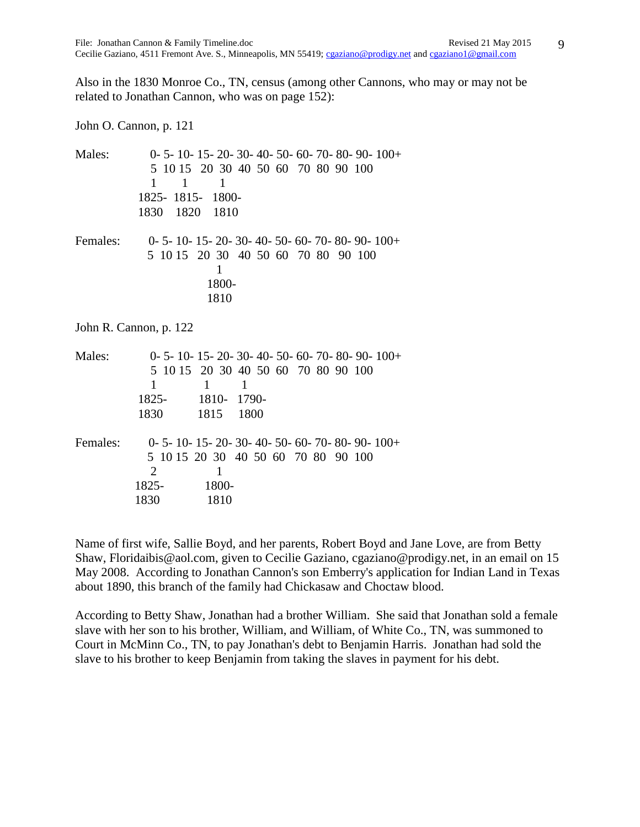Also in the 1830 Monroe Co., TN, census (among other Cannons, who may or may not be related to Jonathan Cannon, who was on page 152):

John O. Cannon, p. 121

| Males:   | $0-5-10-15-20-30-40-50-60-70-80-90-100+$<br>5 10 15 20 30 40 50 60 70 80 90 100<br>$\mathbf{1}$<br>1<br>$\mathbf{1}$<br>1825-1815-<br>1800-<br>1830 1820<br>1810 |  |
|----------|------------------------------------------------------------------------------------------------------------------------------------------------------------------|--|
| Females: | $0-5-10-15-20-30-40-50-60-70-80-90-100+$<br>5 10 15 20 30 40 50 60 70 80 90 100<br>1<br>1800-<br>1810                                                            |  |
|          | John R. Cannon, p. 122                                                                                                                                           |  |
| Males:   | $0-5-10-15-20-30-40-50-60-70-80-90-100+$<br>5 10 15 20 30 40 50 60 70 80 90 100<br>1<br>$\mathbf{1}$<br>1<br>1810-1790-<br>1825-<br>1830<br>1815<br>1800         |  |
| Females: | $0-5-10-15-20-30-40-50-60-70-80-90-100+$<br>5 10 15 20 30 40 50 60 70 80 90 100<br>2<br>1<br>1800-<br>1825-<br>1830<br>1810                                      |  |

Name of first wife, Sallie Boyd, and her parents, Robert Boyd and Jane Love, are from Betty Shaw, Floridaibis@aol.com, given to Cecilie Gaziano, cgaziano@prodigy.net, in an email on 15 May 2008. According to Jonathan Cannon's son Emberry's application for Indian Land in Texas about 1890, this branch of the family had Chickasaw and Choctaw blood.

According to Betty Shaw, Jonathan had a brother William. She said that Jonathan sold a female slave with her son to his brother, William, and William, of White Co., TN, was summoned to Court in McMinn Co., TN, to pay Jonathan's debt to Benjamin Harris. Jonathan had sold the slave to his brother to keep Benjamin from taking the slaves in payment for his debt.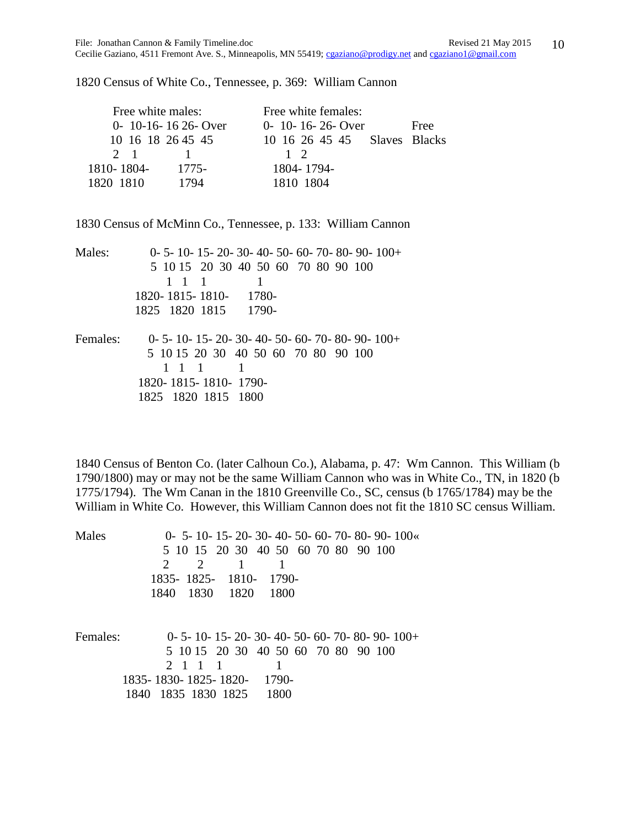10

1820 Census of White Co., Tennessee, p. 369: William Cannon

| Free white females:          |      |
|------------------------------|------|
| $0 - 10 - 16 - 26 -$ Over    | Free |
| 10 16 26 45 45 Slaves Blacks |      |
| $1\quad2$                    |      |
| 1804-1794-                   |      |
| 1810 1804                    |      |
|                              |      |

1830 Census of McMinn Co., Tennessee, p. 133: William Cannon

| Males:   | $0-5-10-15-20-30-40-50-60-70-80-90-100+$ |
|----------|------------------------------------------|
|          | 5 10 15 20 30 40 50 60 70 80 90 100      |
|          | 1 1 1                                    |
|          | 1820-1815-1810- 1780-                    |
|          | 1825 1820 1815 1790-                     |
| Females: | $0-5-10-15-20-30-40-50-60-70-80-90-100+$ |
|          | 5 10 15 20 30 40 50 60 70 80 90 100      |
|          | $1 \quad 1 \quad 1$                      |
|          | 1820-1815-1810-1790-                     |
|          | 1825 1820 1815 1800                      |
|          |                                          |

1840 Census of Benton Co. (later Calhoun Co.), Alabama, p. 47: Wm Cannon. This William (b 1790/1800) may or may not be the same William Cannon who was in White Co., TN, in 1820 (b 1775/1794). The Wm Canan in the 1810 Greenville Co., SC, census (b 1765/1784) may be the William in White Co. However, this William Cannon does not fit the 1810 SC census William.

| Males    | $0-5-10-15-20-30-40-50-60-70-80-90-100$                      |
|----------|--------------------------------------------------------------|
|          | 5 10 15 20 30 40 50 60 70 80 90 100                          |
|          | $\mathcal{D}_{\cdot}$<br>$\mathcal{D}_{\mathcal{L}}$         |
|          | 1835-1825-1810-<br>-1790-                                    |
|          | 1840 1830 1820 1800                                          |
| Females: | $0-5-10-15-20-30-40-50-60-70-80-90-100+$                     |
|          | 5 10 15 20 30 40 50 60 70 80 90 100                          |
|          | 2 1 1<br>$\blacksquare$ 1                                    |
|          | 1790-<br>1835-1830-1825-1820-<br>1840 1835 1830 1825<br>1800 |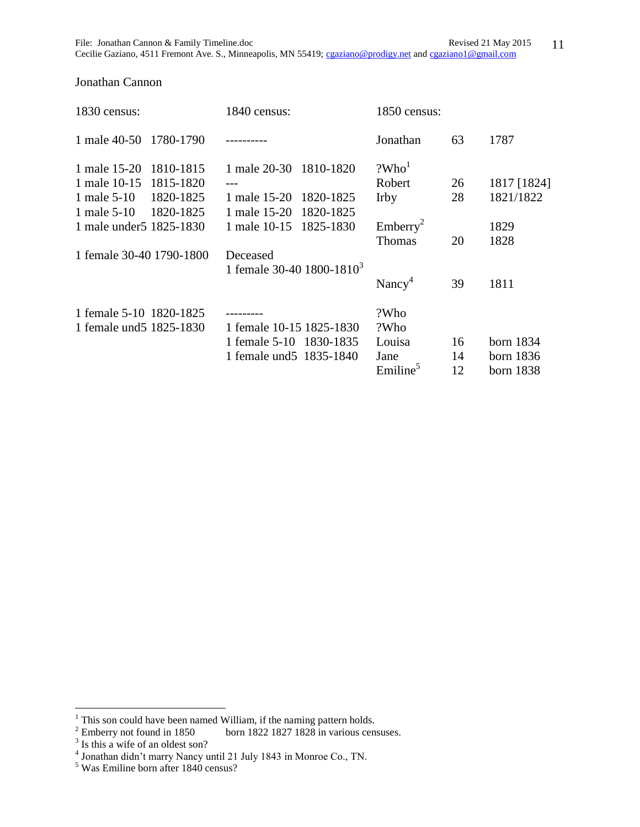| 1830 census:              | 1840 census:                          | 1850 census:         |    |             |
|---------------------------|---------------------------------------|----------------------|----|-------------|
| 1 male 40-50 1780-1790    |                                       | Jonathan             | 63 | 1787        |
| 1 male 15-20<br>1810-1815 | 1 male 20-30 1810-1820                | ?Who <sup>1</sup>    |    |             |
| 1 male 10-15<br>1815-1820 |                                       | Robert               | 26 | 1817 [1824] |
| 1820-1825<br>1 male 5-10  | 1 male 15-20<br>1820-1825             | <b>Irby</b>          | 28 | 1821/1822   |
| 1820-1825<br>1 male 5-10  | 1 male 15-20<br>1820-1825             |                      |    |             |
| 1 male under 5 1825-1830  | 1 male 10-15<br>1825-1830             | Emberry <sup>2</sup> |    | 1829        |
|                           |                                       | <b>Thomas</b>        | 20 | 1828        |
| 1 female 30-40 1790-1800  | Deceased                              |                      |    |             |
|                           | 1 female 30-40 1800-1810 <sup>3</sup> |                      |    |             |
|                           |                                       | Nancy <sup>4</sup>   | 39 | 1811        |
| 1 female 5-10 1820-1825   |                                       | ?Who                 |    |             |
| 1 female und 5 1825-1830  | 1 female 10-15 1825-1830              | ?Who                 |    |             |
|                           | 1 female $5-10$<br>1830-1835          | Louisa               | 16 | born 1834   |
|                           | 1 female und 5 1835-1840              | Jane                 | 14 | born 1836   |
|                           |                                       | Emiline <sup>5</sup> | 12 | born 1838   |

## Jonathan Cannon

 $1$  This son could have been named William, if the naming pattern holds.

<sup>&</sup>lt;sup>2</sup> Emberry not found in 1850 born 1822 1827 1828 in various censuses.<br>
<sup>3</sup> Is this a wife of an oldest son?<br>
<sup>4</sup> Jonathan didn't marry Nancy until 21 July 1843 in Monroe Co., TN.

<sup>&</sup>lt;sup>5</sup> Was Emiline born after 1840 census?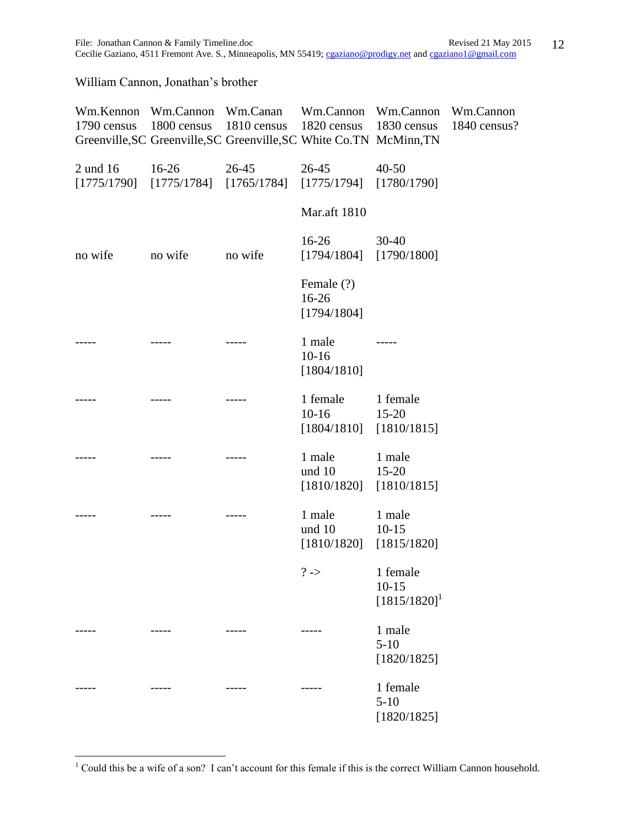Cecilie Gaziano, 4511 Fremont Ave. S., Minneapolis, MN 55419; [cgaziano@prodigy.net](mailto:cgaziano@prodigy.net) and [cgaziano1@gmail.com](mailto:cgaziano1@gmail.com)

William Cannon, Jonathan's brother

| 1790 census | 1800 census 1810 census 1820 census 1830 census<br>Greenville, SC Greenville, SC Greenville, SC White Co. TN McMinn, TN   |                                                             | Wm.Kennon Wm.Cannon Wm.Canan Wm.Cannon Wm.Cannon Wm.Cannon | 1840 census? |
|-------------|---------------------------------------------------------------------------------------------------------------------------|-------------------------------------------------------------|------------------------------------------------------------|--------------|
|             | 2 und 16 16-26 26-45 26-45 40-50<br>$[1775/1790] \quad [1775/1784] \quad [1765/1784] \quad [1775/1794] \quad [1780/1790]$ |                                                             |                                                            |              |
|             |                                                                                                                           | <b>Mar.aft 1810</b>                                         |                                                            |              |
| no wife     | no wife no wife                                                                                                           | $16-26$<br>$[1794/1804]$ $[1790/1800]$                      | $30-40$                                                    |              |
|             |                                                                                                                           | Female (?)<br>$16-26$<br>[1794/1804]                        |                                                            |              |
|             |                                                                                                                           | 1 male<br>$10-16$<br>[1804/1810]                            |                                                            |              |
|             |                                                                                                                           | 1 female 1 female<br>$10-16$<br>$[1804/1810]$ $[1810/1815]$ | $15 - 20$                                                  |              |
|             |                                                                                                                           | 1 male<br>und 10 15-20<br>$[1810/1820]$ $[1810/1815]$       | 1 male                                                     |              |
|             |                                                                                                                           | 1 male<br>und 10 10-15<br>$[1810/1820]$ $[1815/1820]$       | 1 male                                                     |              |
|             |                                                                                                                           | $? \rightarrow$ 1 female                                    | $10 - 15$<br>$[1815/1820]$ <sup>1</sup>                    |              |
|             |                                                                                                                           |                                                             | 1 male<br>$5 - 10$<br>[1820/1825]                          |              |
|             |                                                                                                                           |                                                             | 1 female<br>$5 - 10$<br>[1820/1825]                        |              |

 $1$  Could this be a wife of a son? I can't account for this female if this is the correct William Cannon household.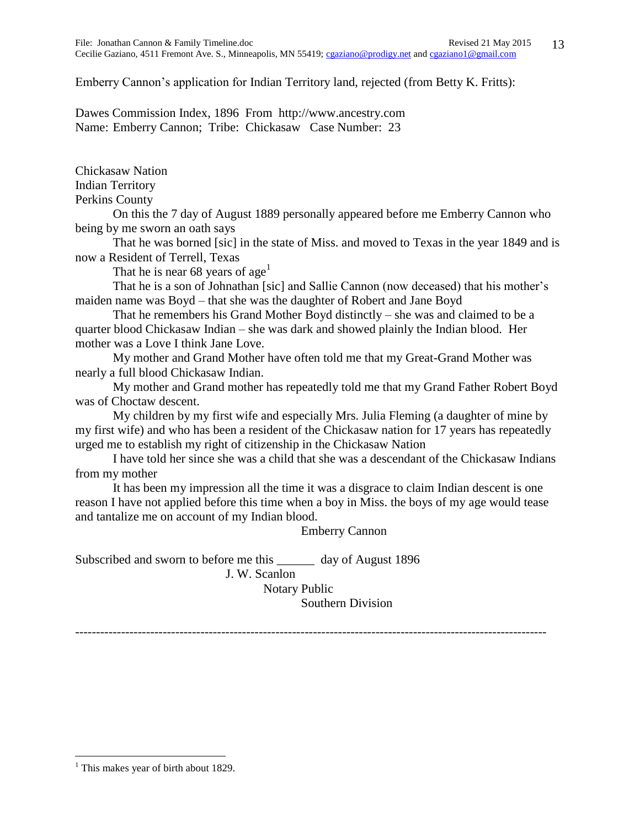Emberry Cannon's application for Indian Territory land, rejected (from Betty K. Fritts):

Dawes Commission Index, 1896 From http://www.ancestry.com Name: Emberry Cannon; Tribe: Chickasaw Case Number: 23

Chickasaw Nation

Indian Territory

Perkins County

On this the 7 day of August 1889 personally appeared before me Emberry Cannon who being by me sworn an oath says

That he was borned [sic] in the state of Miss. and moved to Texas in the year 1849 and is now a Resident of Terrell, Texas

That he is near 68 years of age<sup>1</sup>

That he is a son of Johnathan [sic] and Sallie Cannon (now deceased) that his mother's maiden name was Boyd – that she was the daughter of Robert and Jane Boyd

That he remembers his Grand Mother Boyd distinctly – she was and claimed to be a quarter blood Chickasaw Indian – she was dark and showed plainly the Indian blood. Her mother was a Love I think Jane Love.

My mother and Grand Mother have often told me that my Great-Grand Mother was nearly a full blood Chickasaw Indian.

My mother and Grand mother has repeatedly told me that my Grand Father Robert Boyd was of Choctaw descent.

My children by my first wife and especially Mrs. Julia Fleming (a daughter of mine by my first wife) and who has been a resident of the Chickasaw nation for 17 years has repeatedly urged me to establish my right of citizenship in the Chickasaw Nation

I have told her since she was a child that she was a descendant of the Chickasaw Indians from my mother

It has been my impression all the time it was a disgrace to claim Indian descent is one reason I have not applied before this time when a boy in Miss. the boys of my age would tease and tantalize me on account of my Indian blood.

Emberry Cannon

Subscribed and sworn to before me this \_\_\_\_\_\_ day of August 1896 J. W. Scanlon Notary Public

Southern Division

-----------------------------------------------------------------------------------------------------------------

<sup>&</sup>lt;sup>1</sup> This makes year of birth about 1829.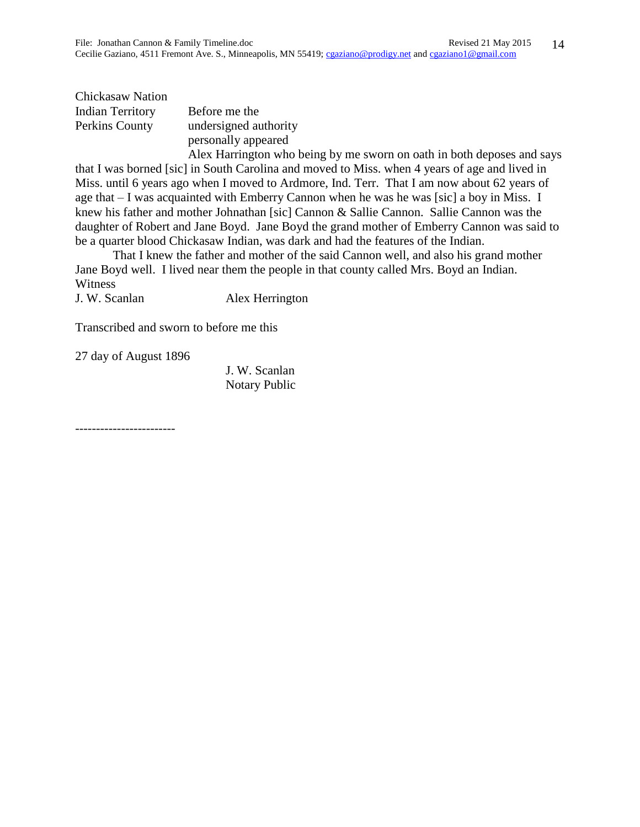Chickasaw Nation Indian Territory Before me the Perkins County undersigned authority personally appeared

Alex Harrington who being by me sworn on oath in both deposes and says that I was borned [sic] in South Carolina and moved to Miss. when 4 years of age and lived in Miss. until 6 years ago when I moved to Ardmore, Ind. Terr. That I am now about 62 years of age that  $-$  I was acquainted with Emberry Cannon when he was he was [sic] a boy in Miss. I knew his father and mother Johnathan [sic] Cannon & Sallie Cannon. Sallie Cannon was the daughter of Robert and Jane Boyd. Jane Boyd the grand mother of Emberry Cannon was said to be a quarter blood Chickasaw Indian, was dark and had the features of the Indian.

That I knew the father and mother of the said Cannon well, and also his grand mother Jane Boyd well. I lived near them the people in that county called Mrs. Boyd an Indian. **Witness** 

J. W. Scanlan Alex Herrington

Transcribed and sworn to before me this

27 day of August 1896

J. W. Scanlan Notary Public

------------------------